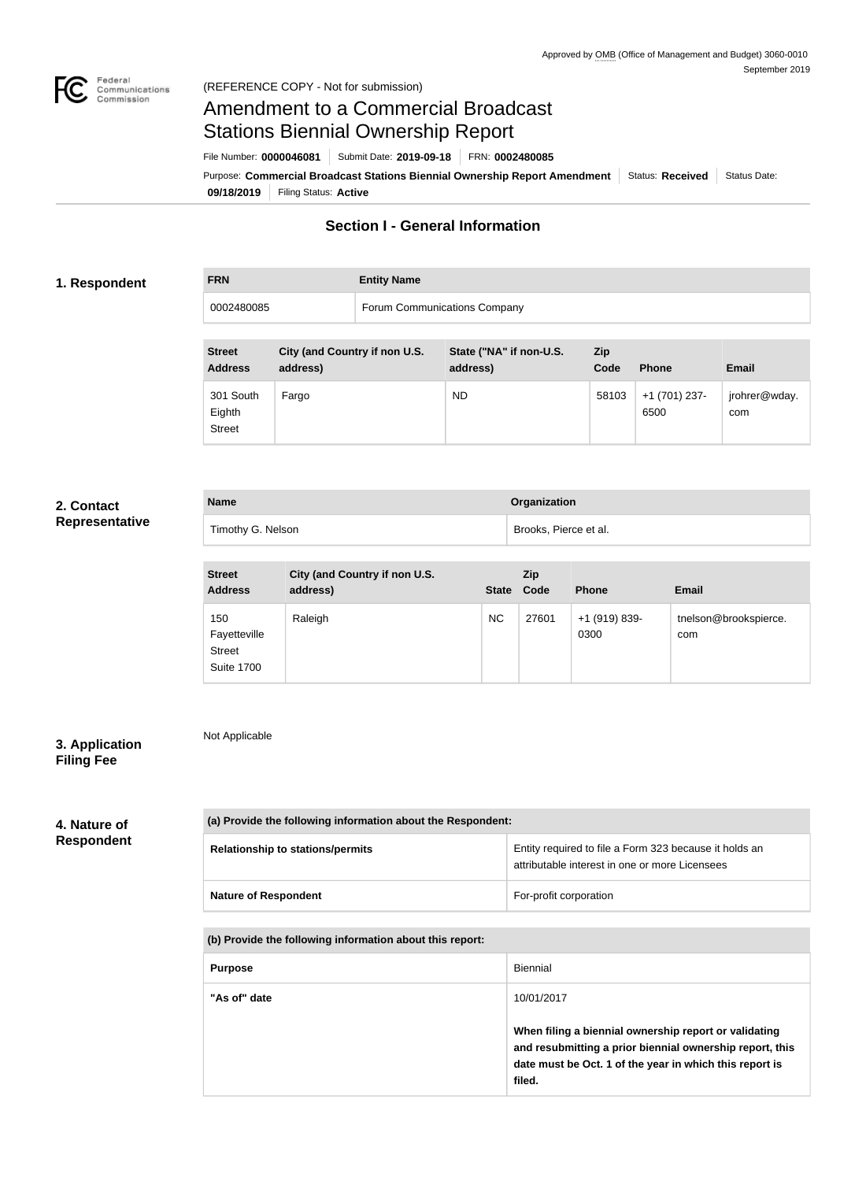

# Amendment to a Commercial Broadcast Stations Biennial Ownership Report

**09/18/2019** Filing Status: **Active** Purpose: Commercial Broadcast Stations Biennial Ownership Report Amendment Status: Received Status Date: File Number: **0000046081** Submit Date: **2019-09-18** FRN: **0002480085**

# **Section I - General Information**

### **1. Respondent**

**FRN Entity Name**

0002480085 Forum Communications Company

| <b>Street</b><br><b>Address</b>      | City (and Country if non U.S.<br>address) | State ("NA" if non-U.S.<br>address) | Zip<br>Code | <b>Phone</b>          | <b>Email</b>         |
|--------------------------------------|-------------------------------------------|-------------------------------------|-------------|-----------------------|----------------------|
| 301 South<br>Eighth<br><b>Street</b> | Fargo                                     | ND                                  | 58103       | +1 (701) 237-<br>6500 | jrohrer@wday.<br>com |

### **2. Contact Representative**

| <b>Name</b>       | Organization          |
|-------------------|-----------------------|
| Timothy G. Nelson | Brooks, Pierce et al. |

| <b>Street</b><br><b>Address</b>                           | City (and Country if non U.S.<br>address) | State Code | <b>Zip</b> | <b>Phone</b>          | <b>Email</b>                 |
|-----------------------------------------------------------|-------------------------------------------|------------|------------|-----------------------|------------------------------|
| 150<br>Fayetteville<br><b>Street</b><br><b>Suite 1700</b> | Raleigh                                   | <b>NC</b>  | 27601      | +1 (919) 839-<br>0300 | tnelson@brookspierce.<br>com |

# **3. Application Filing Fee**

Not Applicable

### **4. Nature of Respondent**

| (a) Provide the following information about the Respondent: |                                                                                                          |  |
|-------------------------------------------------------------|----------------------------------------------------------------------------------------------------------|--|
| <b>Relationship to stations/permits</b>                     | Entity required to file a Form 323 because it holds an<br>attributable interest in one or more Licensees |  |
| <b>Nature of Respondent</b>                                 | For-profit corporation                                                                                   |  |

### **(b) Provide the following information about this report:**

| <b>Purpose</b> | Biennial                                                                                                                                                                               |
|----------------|----------------------------------------------------------------------------------------------------------------------------------------------------------------------------------------|
| "As of" date   | 10/01/2017                                                                                                                                                                             |
|                | When filing a biennial ownership report or validating<br>and resubmitting a prior biennial ownership report, this<br>date must be Oct. 1 of the year in which this report is<br>filed. |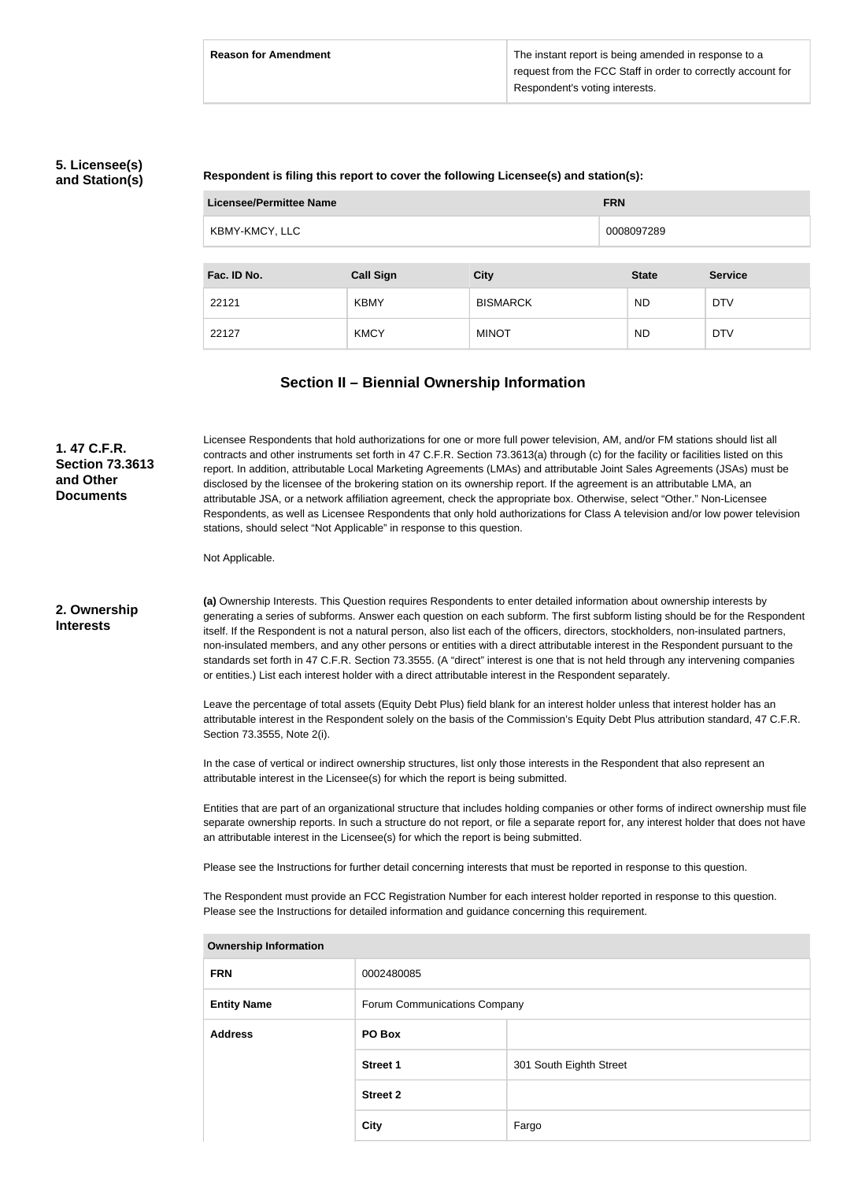# **5. Licensee(s) and Station(s)**

### **Respondent is filing this report to cover the following Licensee(s) and station(s):**

| Licensee/Permittee Name |                  |                 |  | <b>FRN</b>   |                |
|-------------------------|------------------|-----------------|--|--------------|----------------|
| KBMY-KMCY, LLC          |                  |                 |  | 0008097289   |                |
|                         |                  |                 |  |              |                |
| Fac. ID No.             | <b>Call Sign</b> | <b>City</b>     |  | <b>State</b> | <b>Service</b> |
| 22121                   | <b>KBMY</b>      | <b>BISMARCK</b> |  | <b>ND</b>    | <b>DTV</b>     |
| 22127                   | <b>KMCY</b>      | <b>MINOT</b>    |  | <b>ND</b>    | <b>DTV</b>     |

# **Section II – Biennial Ownership Information**

| 1.47 C.F.R.<br><b>Section 73.3613</b><br>and Other<br><b>Documents</b> | Licensee Respondents that hold authorizations for one or more full power television, AM, and/or FM stations should list all<br>contracts and other instruments set forth in 47 C.F.R. Section 73.3613(a) through (c) for the facility or facilities listed on this<br>report. In addition, attributable Local Marketing Agreements (LMAs) and attributable Joint Sales Agreements (JSAs) must be<br>disclosed by the licensee of the brokering station on its ownership report. If the agreement is an attributable LMA, an<br>attributable JSA, or a network affiliation agreement, check the appropriate box. Otherwise, select "Other." Non-Licensee<br>Respondents, as well as Licensee Respondents that only hold authorizations for Class A television and/or low power television<br>stations, should select "Not Applicable" in response to this question. |                              |                                                                                                                                                                                                                                                                                                                                                                                                                                                                                                                                                                                                                                                                                                                                                                                   |  |
|------------------------------------------------------------------------|--------------------------------------------------------------------------------------------------------------------------------------------------------------------------------------------------------------------------------------------------------------------------------------------------------------------------------------------------------------------------------------------------------------------------------------------------------------------------------------------------------------------------------------------------------------------------------------------------------------------------------------------------------------------------------------------------------------------------------------------------------------------------------------------------------------------------------------------------------------------|------------------------------|-----------------------------------------------------------------------------------------------------------------------------------------------------------------------------------------------------------------------------------------------------------------------------------------------------------------------------------------------------------------------------------------------------------------------------------------------------------------------------------------------------------------------------------------------------------------------------------------------------------------------------------------------------------------------------------------------------------------------------------------------------------------------------------|--|
|                                                                        | Not Applicable.                                                                                                                                                                                                                                                                                                                                                                                                                                                                                                                                                                                                                                                                                                                                                                                                                                                    |                              |                                                                                                                                                                                                                                                                                                                                                                                                                                                                                                                                                                                                                                                                                                                                                                                   |  |
| 2. Ownership<br><b>Interests</b>                                       |                                                                                                                                                                                                                                                                                                                                                                                                                                                                                                                                                                                                                                                                                                                                                                                                                                                                    |                              | (a) Ownership Interests. This Question requires Respondents to enter detailed information about ownership interests by<br>generating a series of subforms. Answer each question on each subform. The first subform listing should be for the Respondent<br>itself. If the Respondent is not a natural person, also list each of the officers, directors, stockholders, non-insulated partners,<br>non-insulated members, and any other persons or entities with a direct attributable interest in the Respondent pursuant to the<br>standards set forth in 47 C.F.R. Section 73.3555. (A "direct" interest is one that is not held through any intervening companies<br>or entities.) List each interest holder with a direct attributable interest in the Respondent separately. |  |
|                                                                        | Section 73.3555, Note 2(i).                                                                                                                                                                                                                                                                                                                                                                                                                                                                                                                                                                                                                                                                                                                                                                                                                                        |                              | Leave the percentage of total assets (Equity Debt Plus) field blank for an interest holder unless that interest holder has an<br>attributable interest in the Respondent solely on the basis of the Commission's Equity Debt Plus attribution standard, 47 C.F.R.                                                                                                                                                                                                                                                                                                                                                                                                                                                                                                                 |  |
|                                                                        | attributable interest in the Licensee(s) for which the report is being submitted.                                                                                                                                                                                                                                                                                                                                                                                                                                                                                                                                                                                                                                                                                                                                                                                  |                              | In the case of vertical or indirect ownership structures, list only those interests in the Respondent that also represent an                                                                                                                                                                                                                                                                                                                                                                                                                                                                                                                                                                                                                                                      |  |
|                                                                        | an attributable interest in the Licensee(s) for which the report is being submitted.                                                                                                                                                                                                                                                                                                                                                                                                                                                                                                                                                                                                                                                                                                                                                                               |                              | Entities that are part of an organizational structure that includes holding companies or other forms of indirect ownership must file<br>separate ownership reports. In such a structure do not report, or file a separate report for, any interest holder that does not have                                                                                                                                                                                                                                                                                                                                                                                                                                                                                                      |  |
|                                                                        |                                                                                                                                                                                                                                                                                                                                                                                                                                                                                                                                                                                                                                                                                                                                                                                                                                                                    |                              | Please see the Instructions for further detail concerning interests that must be reported in response to this question.                                                                                                                                                                                                                                                                                                                                                                                                                                                                                                                                                                                                                                                           |  |
|                                                                        | The Respondent must provide an FCC Registration Number for each interest holder reported in response to this question.<br>Please see the Instructions for detailed information and guidance concerning this requirement.                                                                                                                                                                                                                                                                                                                                                                                                                                                                                                                                                                                                                                           |                              |                                                                                                                                                                                                                                                                                                                                                                                                                                                                                                                                                                                                                                                                                                                                                                                   |  |
|                                                                        | <b>Ownership Information</b>                                                                                                                                                                                                                                                                                                                                                                                                                                                                                                                                                                                                                                                                                                                                                                                                                                       |                              |                                                                                                                                                                                                                                                                                                                                                                                                                                                                                                                                                                                                                                                                                                                                                                                   |  |
|                                                                        | <b>FRN</b>                                                                                                                                                                                                                                                                                                                                                                                                                                                                                                                                                                                                                                                                                                                                                                                                                                                         | 0002480085                   |                                                                                                                                                                                                                                                                                                                                                                                                                                                                                                                                                                                                                                                                                                                                                                                   |  |
|                                                                        | <b>Entity Name</b>                                                                                                                                                                                                                                                                                                                                                                                                                                                                                                                                                                                                                                                                                                                                                                                                                                                 | Forum Communications Company |                                                                                                                                                                                                                                                                                                                                                                                                                                                                                                                                                                                                                                                                                                                                                                                   |  |
|                                                                        | <b>Address</b>                                                                                                                                                                                                                                                                                                                                                                                                                                                                                                                                                                                                                                                                                                                                                                                                                                                     | PO Box                       |                                                                                                                                                                                                                                                                                                                                                                                                                                                                                                                                                                                                                                                                                                                                                                                   |  |
|                                                                        |                                                                                                                                                                                                                                                                                                                                                                                                                                                                                                                                                                                                                                                                                                                                                                                                                                                                    | Street 1                     | 301 South Eighth Street                                                                                                                                                                                                                                                                                                                                                                                                                                                                                                                                                                                                                                                                                                                                                           |  |
|                                                                        |                                                                                                                                                                                                                                                                                                                                                                                                                                                                                                                                                                                                                                                                                                                                                                                                                                                                    | <b>Street 2</b>              |                                                                                                                                                                                                                                                                                                                                                                                                                                                                                                                                                                                                                                                                                                                                                                                   |  |

**City Fargo**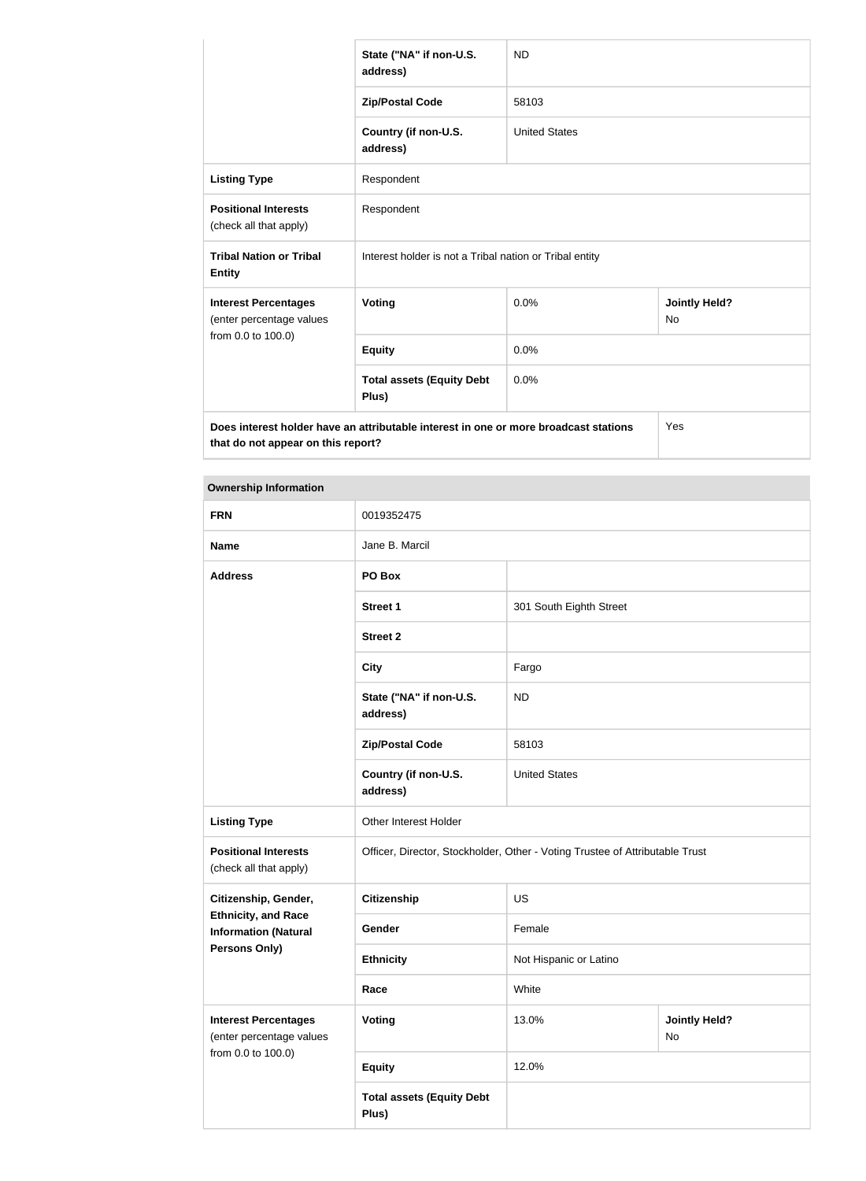|                                                                                             | State ("NA" if non-U.S.<br>address)                     | <b>ND</b>            |                                   |
|---------------------------------------------------------------------------------------------|---------------------------------------------------------|----------------------|-----------------------------------|
|                                                                                             | <b>Zip/Postal Code</b>                                  | 58103                |                                   |
|                                                                                             | Country (if non-U.S.<br>address)                        | <b>United States</b> |                                   |
| <b>Listing Type</b>                                                                         | Respondent                                              |                      |                                   |
| <b>Positional Interests</b><br>(check all that apply)                                       | Respondent                                              |                      |                                   |
| <b>Tribal Nation or Tribal</b><br><b>Entity</b>                                             | Interest holder is not a Tribal nation or Tribal entity |                      |                                   |
| <b>Interest Percentages</b><br>(enter percentage values                                     | <b>Voting</b>                                           | 0.0%                 | <b>Jointly Held?</b><br><b>No</b> |
| from 0.0 to 100.0)                                                                          | <b>Equity</b>                                           | 0.0%                 |                                   |
|                                                                                             | <b>Total assets (Equity Debt</b><br>Plus)               | 0.0%                 |                                   |
| Does interest holder have an attributable interest in one or more broadcast stations<br>Yes |                                                         |                      |                                   |

**that do not appear on this report?**

|  | <b>Ownership Information</b> |
|--|------------------------------|
|--|------------------------------|

| <b>FRN</b>                                                | 0019352475                                                                   |                         |                            |  |
|-----------------------------------------------------------|------------------------------------------------------------------------------|-------------------------|----------------------------|--|
| <b>Name</b>                                               | Jane B. Marcil                                                               |                         |                            |  |
| <b>Address</b>                                            | PO Box                                                                       |                         |                            |  |
|                                                           | <b>Street 1</b>                                                              | 301 South Eighth Street |                            |  |
|                                                           | <b>Street 2</b>                                                              |                         |                            |  |
|                                                           | <b>City</b>                                                                  | Fargo                   |                            |  |
|                                                           | State ("NA" if non-U.S.<br>address)                                          | <b>ND</b>               |                            |  |
|                                                           | <b>Zip/Postal Code</b>                                                       | 58103                   |                            |  |
|                                                           | Country (if non-U.S.<br>address)                                             | <b>United States</b>    |                            |  |
| <b>Listing Type</b>                                       | Other Interest Holder                                                        |                         |                            |  |
| <b>Positional Interests</b><br>(check all that apply)     | Officer, Director, Stockholder, Other - Voting Trustee of Attributable Trust |                         |                            |  |
| Citizenship, Gender,                                      | <b>Citizenship</b>                                                           | <b>US</b>               |                            |  |
| <b>Ethnicity, and Race</b><br><b>Information (Natural</b> | Gender                                                                       | Female                  |                            |  |
| <b>Persons Only)</b>                                      | <b>Ethnicity</b>                                                             | Not Hispanic or Latino  |                            |  |
|                                                           | Race                                                                         | White                   |                            |  |
| <b>Interest Percentages</b><br>(enter percentage values   | <b>Voting</b>                                                                | 13.0%                   | <b>Jointly Held?</b><br>No |  |
| from 0.0 to 100.0)                                        | <b>Equity</b>                                                                | 12.0%                   |                            |  |
|                                                           | <b>Total assets (Equity Debt</b><br>Plus)                                    |                         |                            |  |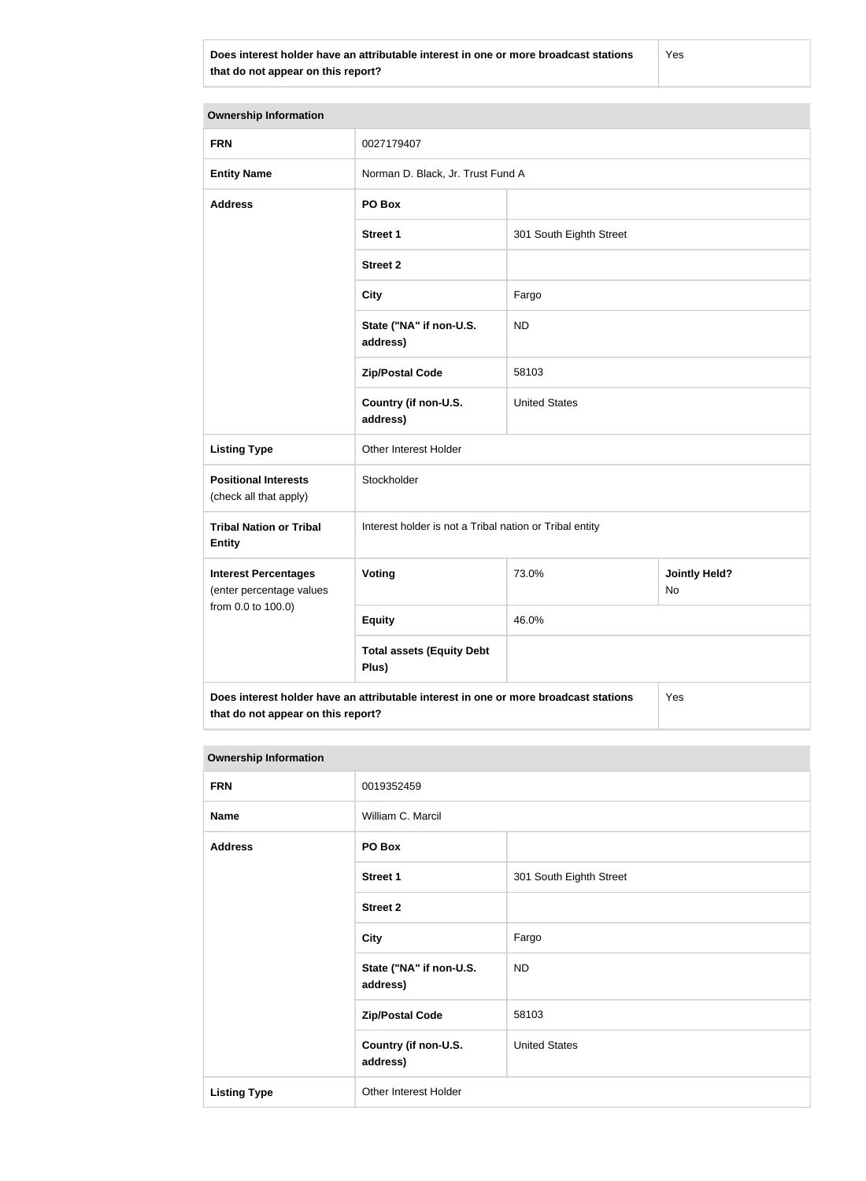**Does interest holder have an attributable interest in one or more broadcast stations that do not appear on this report?**

Yes

| <b>Ownership Information</b>                                                                |                                                         |                         |                            |  |
|---------------------------------------------------------------------------------------------|---------------------------------------------------------|-------------------------|----------------------------|--|
| <b>FRN</b>                                                                                  | 0027179407                                              |                         |                            |  |
| <b>Entity Name</b>                                                                          | Norman D. Black, Jr. Trust Fund A                       |                         |                            |  |
| <b>Address</b>                                                                              | PO Box                                                  |                         |                            |  |
|                                                                                             | <b>Street 1</b>                                         | 301 South Eighth Street |                            |  |
|                                                                                             | <b>Street 2</b>                                         |                         |                            |  |
|                                                                                             | <b>City</b>                                             | Fargo                   |                            |  |
|                                                                                             | State ("NA" if non-U.S.<br>address)                     | <b>ND</b>               |                            |  |
|                                                                                             | <b>Zip/Postal Code</b>                                  | 58103                   |                            |  |
|                                                                                             | Country (if non-U.S.<br>address)                        | <b>United States</b>    |                            |  |
| <b>Listing Type</b>                                                                         | Other Interest Holder                                   |                         |                            |  |
| <b>Positional Interests</b><br>(check all that apply)                                       | Stockholder                                             |                         |                            |  |
| <b>Tribal Nation or Tribal</b><br><b>Entity</b>                                             | Interest holder is not a Tribal nation or Tribal entity |                         |                            |  |
| <b>Interest Percentages</b><br>(enter percentage values                                     | Voting                                                  | 73.0%                   | <b>Jointly Held?</b><br>No |  |
| from 0.0 to 100.0)                                                                          | <b>Equity</b>                                           | 46.0%                   |                            |  |
|                                                                                             | <b>Total assets (Equity Debt</b><br>Plus)               |                         |                            |  |
| Does interest holder have an attributable interest in one or more broadcast stations<br>Yes |                                                         |                         |                            |  |

**that do not appear on this report?**

| <b>Ownership Information</b> |                                     |                         |  |
|------------------------------|-------------------------------------|-------------------------|--|
| <b>FRN</b>                   | 0019352459                          |                         |  |
| <b>Name</b>                  | William C. Marcil                   |                         |  |
| <b>Address</b>               | PO Box                              |                         |  |
|                              | <b>Street 1</b>                     | 301 South Eighth Street |  |
|                              | <b>Street 2</b>                     |                         |  |
|                              | <b>City</b>                         | Fargo                   |  |
|                              | State ("NA" if non-U.S.<br>address) | <b>ND</b>               |  |
|                              | <b>Zip/Postal Code</b>              | 58103                   |  |
|                              | Country (if non-U.S.<br>address)    | <b>United States</b>    |  |
| <b>Listing Type</b>          | Other Interest Holder               |                         |  |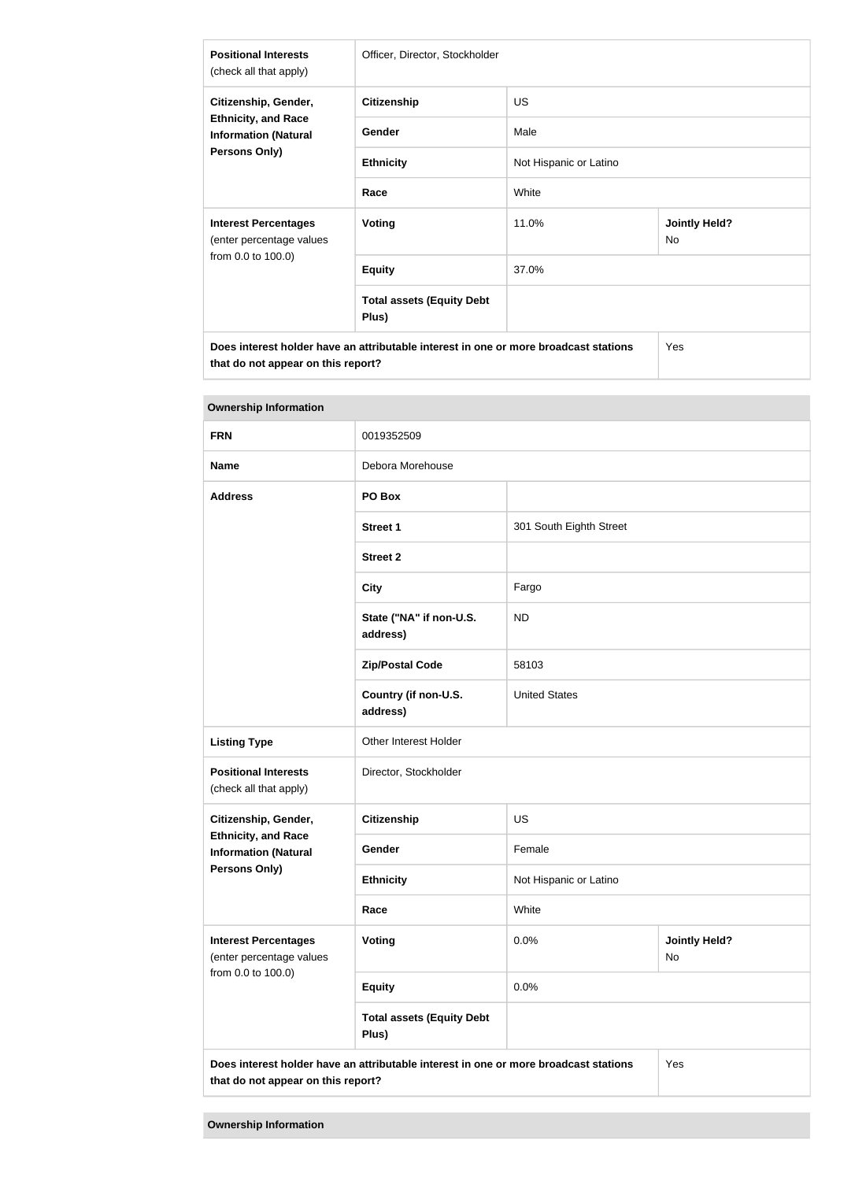| <b>Positional Interests</b><br>(check all that apply)                                              | Officer, Director, Stockholder                                                       |                        |                            |
|----------------------------------------------------------------------------------------------------|--------------------------------------------------------------------------------------|------------------------|----------------------------|
| Citizenship, Gender,<br><b>Ethnicity, and Race</b><br><b>Information (Natural</b><br>Persons Only) | <b>Citizenship</b>                                                                   | US.                    |                            |
|                                                                                                    | Gender                                                                               | Male                   |                            |
|                                                                                                    | <b>Ethnicity</b>                                                                     | Not Hispanic or Latino |                            |
|                                                                                                    | Race                                                                                 | White                  |                            |
| <b>Interest Percentages</b><br>(enter percentage values                                            | <b>Voting</b>                                                                        | 11.0%                  | <b>Jointly Held?</b><br>No |
| from 0.0 to 100.0)                                                                                 | <b>Equity</b>                                                                        | 37.0%                  |                            |
|                                                                                                    | <b>Total assets (Equity Debt</b><br>Plus)                                            |                        |                            |
| that do not appear on this report?                                                                 | Does interest holder have an attributable interest in one or more broadcast stations |                        | Yes                        |

| Ownership information                                                         |                                                                                             |                         |                            |
|-------------------------------------------------------------------------------|---------------------------------------------------------------------------------------------|-------------------------|----------------------------|
| <b>FRN</b>                                                                    | 0019352509                                                                                  |                         |                            |
| <b>Name</b>                                                                   | Debora Morehouse                                                                            |                         |                            |
| <b>Address</b>                                                                | PO Box                                                                                      |                         |                            |
|                                                                               | <b>Street 1</b>                                                                             | 301 South Eighth Street |                            |
|                                                                               | <b>Street 2</b>                                                                             |                         |                            |
|                                                                               | <b>City</b>                                                                                 | Fargo                   |                            |
|                                                                               | State ("NA" if non-U.S.<br>address)                                                         | <b>ND</b>               |                            |
|                                                                               | <b>Zip/Postal Code</b>                                                                      | 58103                   |                            |
|                                                                               | Country (if non-U.S.<br>address)                                                            | <b>United States</b>    |                            |
| <b>Listing Type</b>                                                           | Other Interest Holder                                                                       |                         |                            |
| <b>Positional Interests</b><br>(check all that apply)                         | Director, Stockholder                                                                       |                         |                            |
| Citizenship, Gender,                                                          | <b>Citizenship</b>                                                                          | <b>US</b>               |                            |
| <b>Ethnicity, and Race</b><br><b>Information (Natural</b>                     | Gender                                                                                      | Female                  |                            |
| Persons Only)                                                                 | <b>Ethnicity</b>                                                                            | Not Hispanic or Latino  |                            |
|                                                                               | Race                                                                                        | White                   |                            |
| <b>Interest Percentages</b><br>(enter percentage values<br>from 0.0 to 100.0) | Voting                                                                                      | 0.0%                    | <b>Jointly Held?</b><br>No |
|                                                                               | <b>Equity</b>                                                                               | 0.0%                    |                            |
|                                                                               | <b>Total assets (Equity Debt</b><br>Plus)                                                   |                         |                            |
| that do not appear on this report?                                            | Does interest holder have an attributable interest in one or more broadcast stations<br>Yes |                         |                            |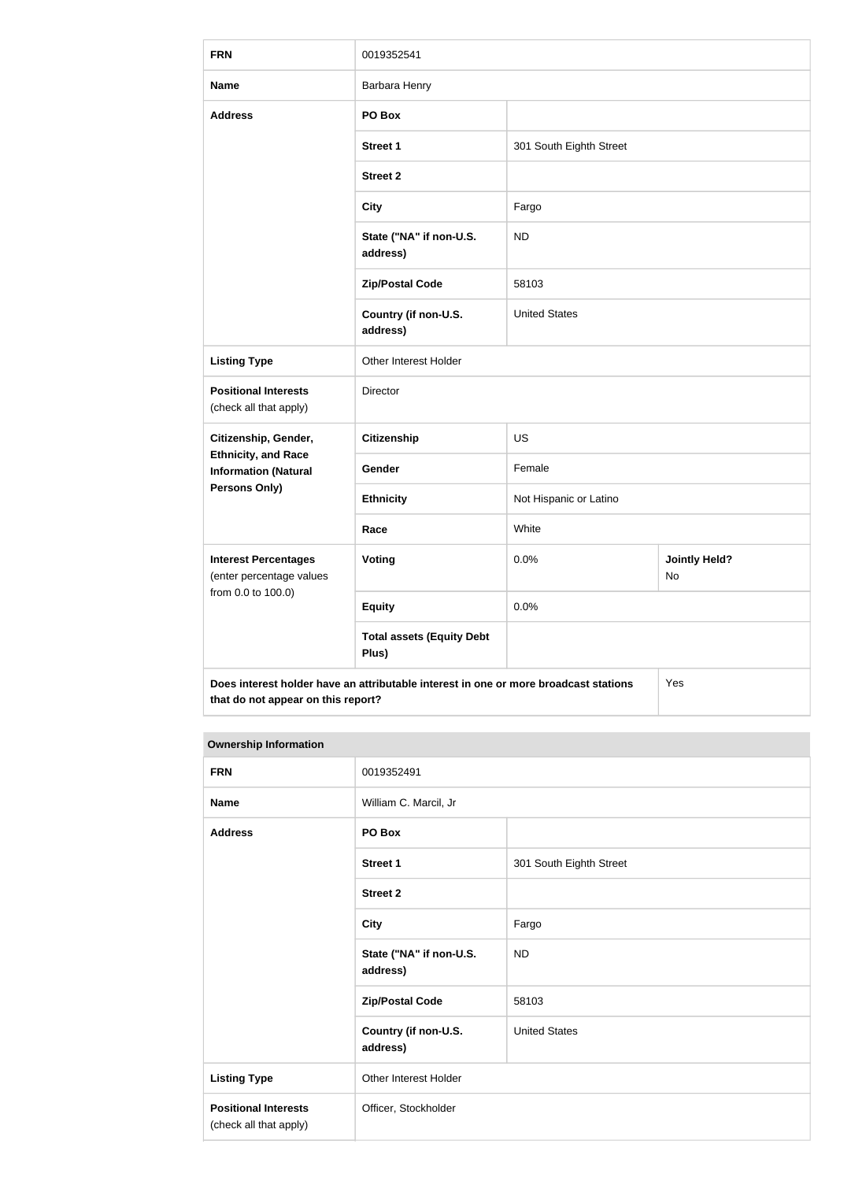| <b>FRN</b>                                                                    | 0019352541                                                                           |                         |                            |
|-------------------------------------------------------------------------------|--------------------------------------------------------------------------------------|-------------------------|----------------------------|
| <b>Name</b>                                                                   | Barbara Henry                                                                        |                         |                            |
| <b>Address</b>                                                                | PO Box                                                                               |                         |                            |
|                                                                               | <b>Street 1</b>                                                                      | 301 South Eighth Street |                            |
|                                                                               | <b>Street 2</b>                                                                      |                         |                            |
|                                                                               | <b>City</b>                                                                          | Fargo                   |                            |
|                                                                               | State ("NA" if non-U.S.<br>address)                                                  | <b>ND</b>               |                            |
|                                                                               | <b>Zip/Postal Code</b>                                                               | 58103                   |                            |
|                                                                               | Country (if non-U.S.<br>address)                                                     | <b>United States</b>    |                            |
| <b>Listing Type</b>                                                           | Other Interest Holder                                                                |                         |                            |
| <b>Positional Interests</b><br>(check all that apply)                         | Director                                                                             |                         |                            |
| Citizenship, Gender,                                                          | Citizenship                                                                          | <b>US</b>               |                            |
| <b>Ethnicity, and Race</b><br><b>Information (Natural</b>                     | Gender                                                                               | Female                  |                            |
| <b>Persons Only)</b>                                                          | <b>Ethnicity</b>                                                                     | Not Hispanic or Latino  |                            |
|                                                                               | Race                                                                                 | White                   |                            |
| <b>Interest Percentages</b><br>(enter percentage values<br>from 0.0 to 100.0) | <b>Voting</b>                                                                        | 0.0%                    | <b>Jointly Held?</b><br>No |
|                                                                               | <b>Equity</b>                                                                        | 0.0%                    |                            |
|                                                                               | <b>Total assets (Equity Debt</b><br>Plus)                                            |                         |                            |
| that do not appear on this report?                                            | Does interest holder have an attributable interest in one or more broadcast stations |                         | Yes                        |

| <b>FRN</b>                                            | 0019352491                          |                         |
|-------------------------------------------------------|-------------------------------------|-------------------------|
| <b>Name</b>                                           | William C. Marcil, Jr               |                         |
| <b>Address</b>                                        | PO Box                              |                         |
|                                                       | Street 1                            | 301 South Eighth Street |
|                                                       | <b>Street 2</b>                     |                         |
|                                                       | <b>City</b>                         | Fargo                   |
|                                                       | State ("NA" if non-U.S.<br>address) | <b>ND</b>               |
|                                                       | <b>Zip/Postal Code</b>              | 58103                   |
|                                                       | Country (if non-U.S.<br>address)    | <b>United States</b>    |
| <b>Listing Type</b>                                   | Other Interest Holder               |                         |
| <b>Positional Interests</b><br>(check all that apply) | Officer, Stockholder                |                         |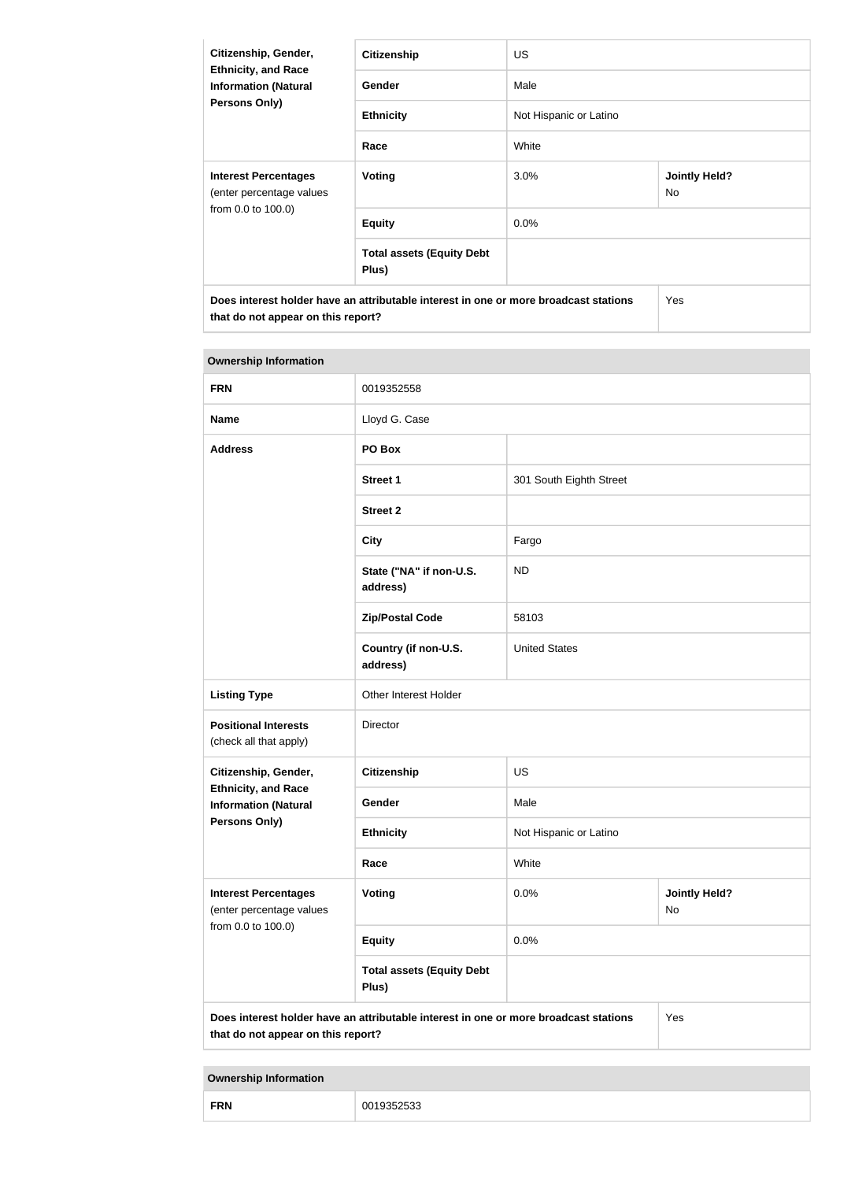| Citizenship, Gender,<br><b>Ethnicity, and Race</b><br><b>Information (Natural</b><br>Persons Only) | <b>Citizenship</b>                                                                   | <b>US</b>              |                                   |
|----------------------------------------------------------------------------------------------------|--------------------------------------------------------------------------------------|------------------------|-----------------------------------|
|                                                                                                    | Gender                                                                               | Male                   |                                   |
|                                                                                                    | <b>Ethnicity</b>                                                                     | Not Hispanic or Latino |                                   |
|                                                                                                    | Race                                                                                 | White                  |                                   |
| <b>Interest Percentages</b><br>(enter percentage values                                            | Voting                                                                               | 3.0%                   | <b>Jointly Held?</b><br><b>No</b> |
| from 0.0 to 100.0)                                                                                 | <b>Equity</b>                                                                        | $0.0\%$                |                                   |
|                                                                                                    | <b>Total assets (Equity Debt</b><br>Plus)                                            |                        |                                   |
| that do not appear on this report?                                                                 | Does interest holder have an attributable interest in one or more broadcast stations |                        | <b>Yes</b>                        |

| <b>Ownership Information</b>                              |                                                                                      |                         |                                   |
|-----------------------------------------------------------|--------------------------------------------------------------------------------------|-------------------------|-----------------------------------|
| <b>FRN</b>                                                | 0019352558                                                                           |                         |                                   |
| <b>Name</b>                                               | Lloyd G. Case                                                                        |                         |                                   |
| <b>Address</b>                                            | PO Box                                                                               |                         |                                   |
|                                                           | <b>Street 1</b>                                                                      | 301 South Eighth Street |                                   |
|                                                           | <b>Street 2</b>                                                                      |                         |                                   |
|                                                           | <b>City</b>                                                                          | Fargo                   |                                   |
|                                                           | State ("NA" if non-U.S.<br>address)                                                  | <b>ND</b>               |                                   |
|                                                           | <b>Zip/Postal Code</b>                                                               | 58103                   |                                   |
|                                                           | Country (if non-U.S.<br>address)                                                     | <b>United States</b>    |                                   |
| <b>Listing Type</b>                                       | Other Interest Holder                                                                |                         |                                   |
| <b>Positional Interests</b><br>(check all that apply)     | Director                                                                             |                         |                                   |
| Citizenship, Gender,                                      | Citizenship                                                                          | <b>US</b>               |                                   |
| <b>Ethnicity, and Race</b><br><b>Information (Natural</b> | Gender                                                                               | Male                    |                                   |
| <b>Persons Only)</b>                                      | <b>Ethnicity</b>                                                                     | Not Hispanic or Latino  |                                   |
|                                                           | Race                                                                                 | White                   |                                   |
| <b>Interest Percentages</b><br>(enter percentage values   | <b>Voting</b>                                                                        | 0.0%                    | <b>Jointly Held?</b><br><b>No</b> |
| from 0.0 to 100.0)                                        | <b>Equity</b>                                                                        | 0.0%                    |                                   |
|                                                           | <b>Total assets (Equity Debt</b><br>Plus)                                            |                         |                                   |
| that do not appear on this report?                        | Does interest holder have an attributable interest in one or more broadcast stations |                         | Yes                               |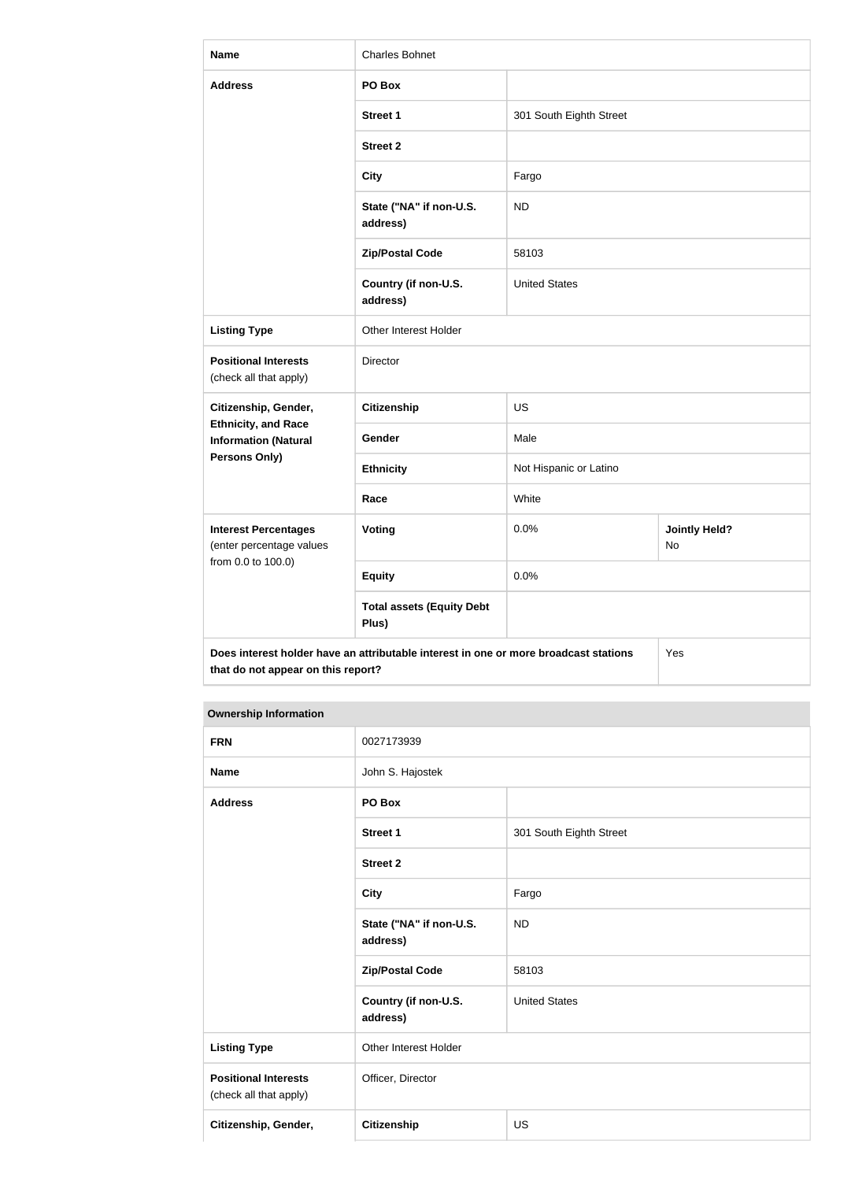| <b>Name</b>                                                                   | <b>Charles Bohnet</b>                                                                |                         |                            |
|-------------------------------------------------------------------------------|--------------------------------------------------------------------------------------|-------------------------|----------------------------|
| <b>Address</b>                                                                | PO Box                                                                               |                         |                            |
|                                                                               | <b>Street 1</b>                                                                      | 301 South Eighth Street |                            |
|                                                                               | <b>Street 2</b>                                                                      |                         |                            |
|                                                                               | <b>City</b>                                                                          | Fargo                   |                            |
|                                                                               | State ("NA" if non-U.S.<br>address)                                                  | <b>ND</b>               |                            |
|                                                                               | <b>Zip/Postal Code</b>                                                               | 58103                   |                            |
|                                                                               | Country (if non-U.S.<br>address)                                                     | <b>United States</b>    |                            |
| <b>Listing Type</b>                                                           | Other Interest Holder                                                                |                         |                            |
| <b>Positional Interests</b><br>(check all that apply)                         | Director                                                                             |                         |                            |
| Citizenship, Gender,                                                          | <b>Citizenship</b>                                                                   | <b>US</b>               |                            |
| <b>Ethnicity, and Race</b><br><b>Information (Natural</b>                     | Gender                                                                               | Male                    |                            |
| <b>Persons Only)</b>                                                          | <b>Ethnicity</b>                                                                     | Not Hispanic or Latino  |                            |
|                                                                               | Race                                                                                 | White                   |                            |
| <b>Interest Percentages</b><br>(enter percentage values<br>from 0.0 to 100.0) | <b>Voting</b>                                                                        | 0.0%                    | <b>Jointly Held?</b><br>No |
|                                                                               | <b>Equity</b>                                                                        | 0.0%                    |                            |
|                                                                               | <b>Total assets (Equity Debt</b><br>Plus)                                            |                         |                            |
| that do not appear on this report?                                            | Does interest holder have an attributable interest in one or more broadcast stations |                         | Yes                        |

| <b>FRN</b>                                            | 0027173939                          |                         |
|-------------------------------------------------------|-------------------------------------|-------------------------|
| <b>Name</b>                                           | John S. Hajostek                    |                         |
| <b>Address</b>                                        | PO Box                              |                         |
|                                                       | <b>Street 1</b>                     | 301 South Eighth Street |
|                                                       | <b>Street 2</b>                     |                         |
|                                                       | <b>City</b>                         | Fargo                   |
|                                                       | State ("NA" if non-U.S.<br>address) | <b>ND</b>               |
|                                                       | <b>Zip/Postal Code</b>              | 58103                   |
|                                                       | Country (if non-U.S.<br>address)    | <b>United States</b>    |
| <b>Listing Type</b>                                   | Other Interest Holder               |                         |
| <b>Positional Interests</b><br>(check all that apply) | Officer, Director                   |                         |
| Citizenship, Gender,                                  | <b>Citizenship</b>                  | <b>US</b>               |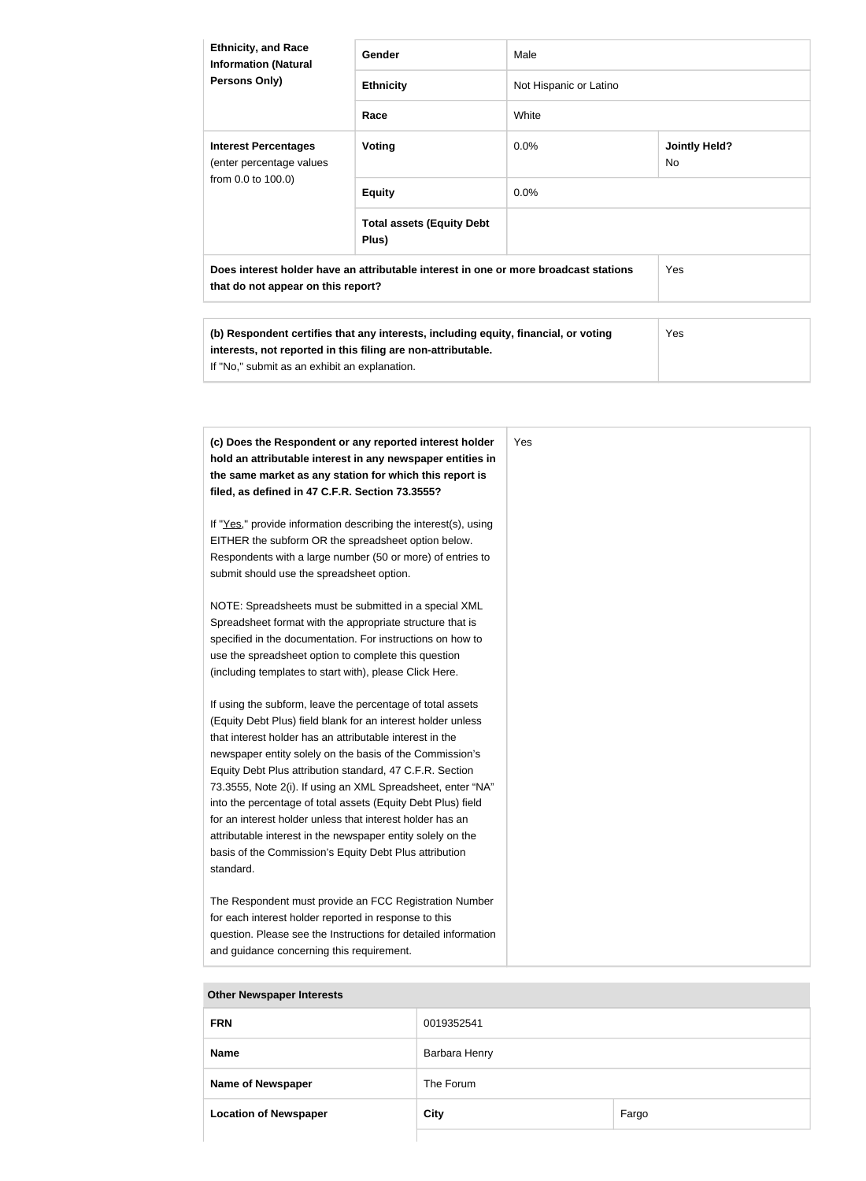| <b>Ethnicity, and Race</b><br><b>Information (Natural</b> | Gender                                                                               | Male                   |                             |
|-----------------------------------------------------------|--------------------------------------------------------------------------------------|------------------------|-----------------------------|
| <b>Persons Only)</b>                                      | <b>Ethnicity</b>                                                                     | Not Hispanic or Latino |                             |
|                                                           | Race                                                                                 | White                  |                             |
| <b>Interest Percentages</b><br>(enter percentage values   | <b>Voting</b>                                                                        | $0.0\%$                | <b>Jointly Held?</b><br>No. |
| from 0.0 to 100.0)                                        | <b>Equity</b>                                                                        | $0.0\%$                |                             |
|                                                           | <b>Total assets (Equity Debt</b><br>Plus)                                            |                        |                             |
| that do not appear on this report?                        | Does interest holder have an attributable interest in one or more broadcast stations |                        | <b>Yes</b>                  |

| (b) Respondent certifies that any interests, including equity, financial, or voting | Yes |
|-------------------------------------------------------------------------------------|-----|
| interests, not reported in this filing are non-attributable.                        |     |
| If "No," submit as an exhibit an explanation.                                       |     |

| (c) Does the Respondent or any reported interest holder<br>hold an attributable interest in any newspaper entities in<br>the same market as any station for which this report is<br>filed, as defined in 47 C.F.R. Section 73.3555?                                                                                                                                                                                                                                                                                                                                                                                                              | Yes |
|--------------------------------------------------------------------------------------------------------------------------------------------------------------------------------------------------------------------------------------------------------------------------------------------------------------------------------------------------------------------------------------------------------------------------------------------------------------------------------------------------------------------------------------------------------------------------------------------------------------------------------------------------|-----|
| If "Yes," provide information describing the interest(s), using<br>EITHER the subform OR the spreadsheet option below.<br>Respondents with a large number (50 or more) of entries to<br>submit should use the spreadsheet option.                                                                                                                                                                                                                                                                                                                                                                                                                |     |
| NOTE: Spreadsheets must be submitted in a special XML<br>Spreadsheet format with the appropriate structure that is<br>specified in the documentation. For instructions on how to<br>use the spreadsheet option to complete this question<br>(including templates to start with), please Click Here.                                                                                                                                                                                                                                                                                                                                              |     |
| If using the subform, leave the percentage of total assets<br>(Equity Debt Plus) field blank for an interest holder unless<br>that interest holder has an attributable interest in the<br>newspaper entity solely on the basis of the Commission's<br>Equity Debt Plus attribution standard, 47 C.F.R. Section<br>73.3555, Note 2(i). If using an XML Spreadsheet, enter "NA"<br>into the percentage of total assets (Equity Debt Plus) field<br>for an interest holder unless that interest holder has an<br>attributable interest in the newspaper entity solely on the<br>basis of the Commission's Equity Debt Plus attribution<br>standard. |     |
| The Respondent must provide an FCC Registration Number<br>for each interest holder reported in response to this<br>question. Please see the Instructions for detailed information<br>and guidance concerning this requirement.                                                                                                                                                                                                                                                                                                                                                                                                                   |     |

| <b>OUTEL NEWSPAPEL ITIELESIS</b> |               |       |
|----------------------------------|---------------|-------|
| <b>FRN</b>                       | 0019352541    |       |
| <b>Name</b>                      | Barbara Henry |       |
| <b>Name of Newspaper</b>         | The Forum     |       |
| <b>Location of Newspaper</b>     | City          | Fargo |
|                                  |               |       |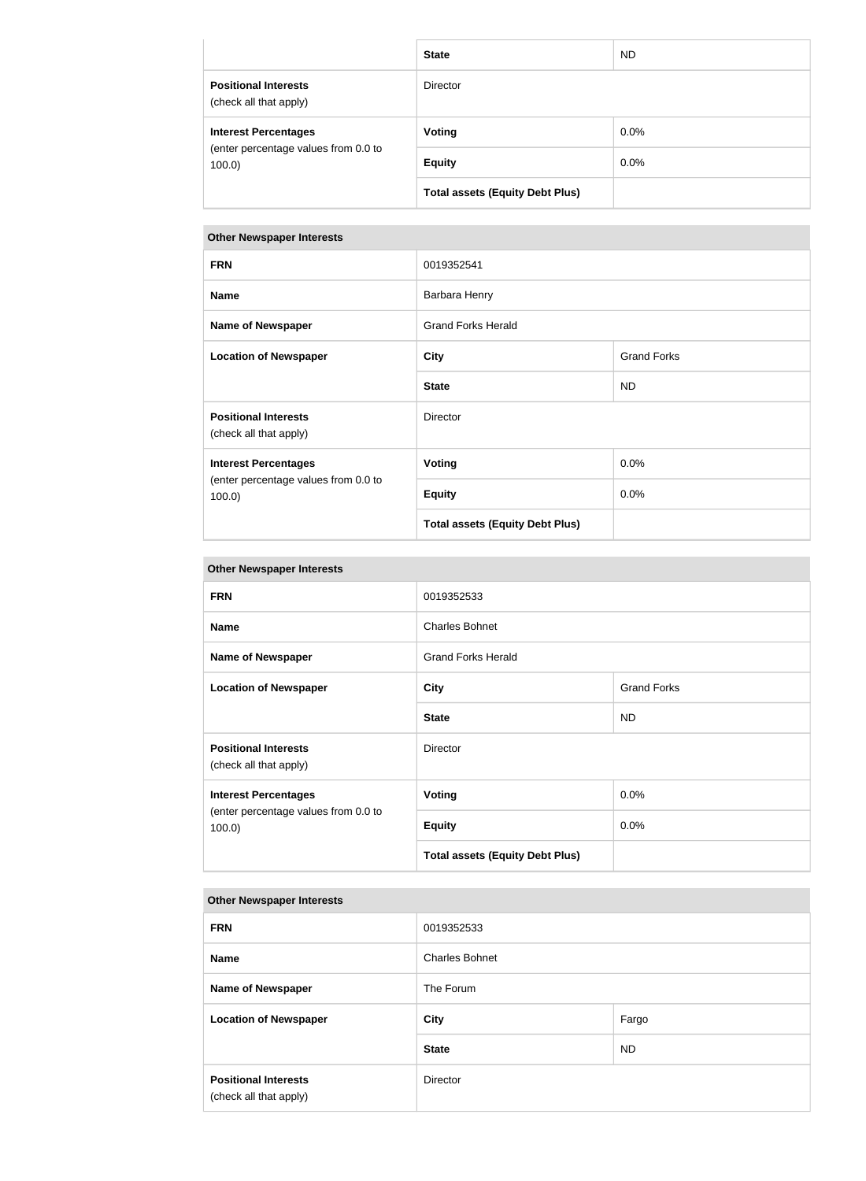|                                                       | <b>State</b>                           | ND.     |
|-------------------------------------------------------|----------------------------------------|---------|
| <b>Positional Interests</b><br>(check all that apply) | <b>Director</b>                        |         |
| <b>Interest Percentages</b>                           | <b>Voting</b>                          | $0.0\%$ |
| (enter percentage values from 0.0 to<br>100.0         | <b>Equity</b>                          | $0.0\%$ |
|                                                       | <b>Total assets (Equity Debt Plus)</b> |         |

| <b>FRN</b>                                                                       | 0019352541                             |                    |
|----------------------------------------------------------------------------------|----------------------------------------|--------------------|
| <b>Name</b>                                                                      | Barbara Henry                          |                    |
| <b>Name of Newspaper</b>                                                         | <b>Grand Forks Herald</b>              |                    |
| <b>Location of Newspaper</b>                                                     | <b>City</b>                            | <b>Grand Forks</b> |
|                                                                                  | <b>State</b>                           | <b>ND</b>          |
| <b>Positional Interests</b><br>(check all that apply)                            | <b>Director</b>                        |                    |
| <b>Interest Percentages</b><br>(enter percentage values from 0.0 to<br>$100.0$ ) | <b>Voting</b>                          | 0.0%               |
|                                                                                  | <b>Equity</b>                          | $0.0\%$            |
|                                                                                  | <b>Total assets (Equity Debt Plus)</b> |                    |

| <b>Other Newspaper Interests</b>                                                 |                                        |                    |
|----------------------------------------------------------------------------------|----------------------------------------|--------------------|
| <b>FRN</b>                                                                       | 0019352533                             |                    |
| <b>Name</b>                                                                      | <b>Charles Bohnet</b>                  |                    |
| <b>Name of Newspaper</b>                                                         | <b>Grand Forks Herald</b>              |                    |
| <b>Location of Newspaper</b>                                                     | <b>City</b>                            | <b>Grand Forks</b> |
|                                                                                  | <b>State</b>                           | <b>ND</b>          |
| <b>Positional Interests</b><br>(check all that apply)                            | <b>Director</b>                        |                    |
| <b>Interest Percentages</b><br>(enter percentage values from 0.0 to<br>$100.0$ ) | Voting                                 | 0.0%               |
|                                                                                  | <b>Equity</b>                          | 0.0%               |
|                                                                                  | <b>Total assets (Equity Debt Plus)</b> |                    |

| <b>FRN</b>                                            | 0019352533            |           |
|-------------------------------------------------------|-----------------------|-----------|
| <b>Name</b>                                           | <b>Charles Bohnet</b> |           |
| <b>Name of Newspaper</b>                              | The Forum             |           |
| <b>Location of Newspaper</b>                          | Fargo<br><b>City</b>  |           |
|                                                       | <b>State</b>          | <b>ND</b> |
| <b>Positional Interests</b><br>(check all that apply) | Director              |           |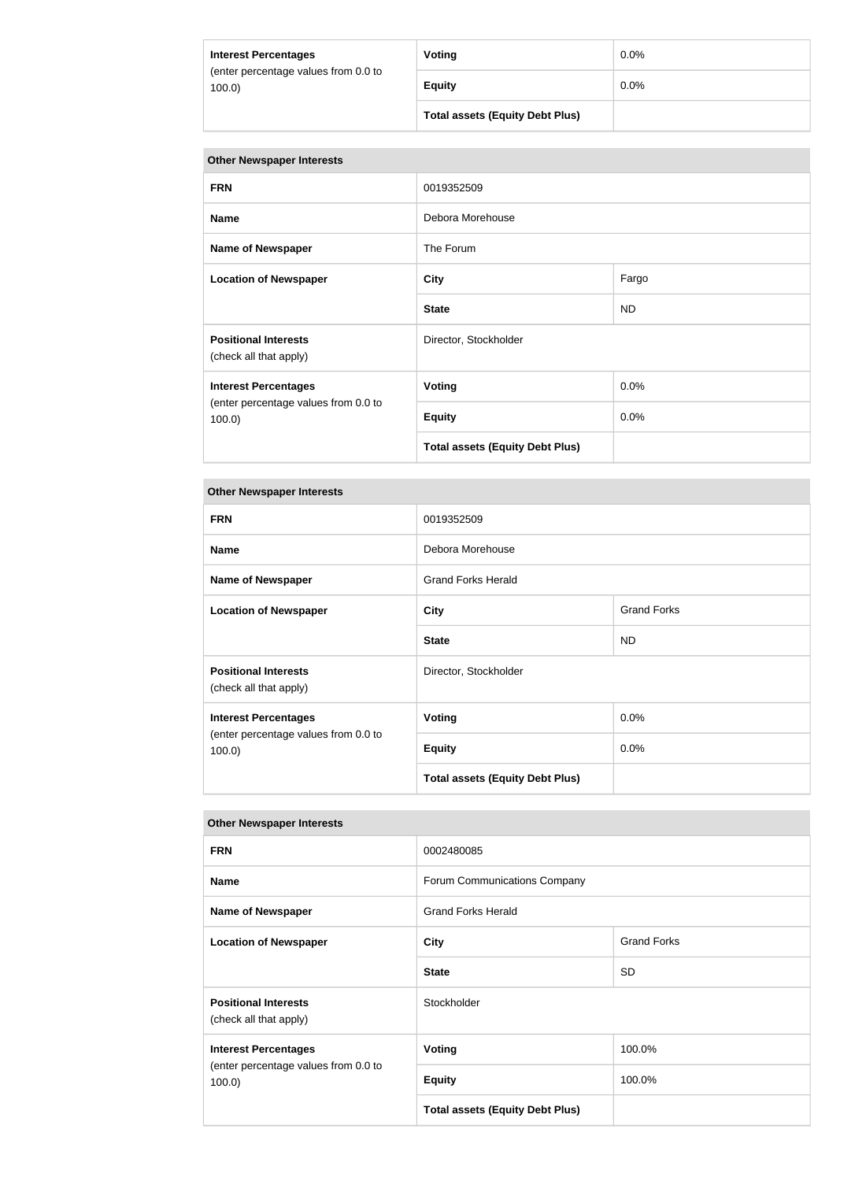| <b>Interest Percentages</b>                   | Voting                                 | $0.0\%$ |
|-----------------------------------------------|----------------------------------------|---------|
| (enter percentage values from 0.0 to<br>100.0 | <b>Equity</b>                          | 0.0%    |
|                                               | <b>Total assets (Equity Debt Plus)</b> |         |

| <b>Other Newspaper Interests</b>                                                 |                                        |           |
|----------------------------------------------------------------------------------|----------------------------------------|-----------|
| <b>FRN</b>                                                                       | 0019352509                             |           |
| <b>Name</b>                                                                      | Debora Morehouse                       |           |
| <b>Name of Newspaper</b>                                                         | The Forum                              |           |
| <b>Location of Newspaper</b>                                                     | <b>City</b>                            | Fargo     |
|                                                                                  | <b>State</b>                           | <b>ND</b> |
| <b>Positional Interests</b><br>(check all that apply)                            | Director, Stockholder                  |           |
| <b>Interest Percentages</b><br>(enter percentage values from 0.0 to<br>$100.0$ ) | <b>Voting</b>                          | 0.0%      |
|                                                                                  | <b>Equity</b>                          | 0.0%      |
|                                                                                  | <b>Total assets (Equity Debt Plus)</b> |           |

### **Other Newspaper Interests**

| <b>FRN</b>                                                                   | 0019352509                             |                    |
|------------------------------------------------------------------------------|----------------------------------------|--------------------|
| <b>Name</b>                                                                  | Debora Morehouse                       |                    |
| <b>Name of Newspaper</b>                                                     | <b>Grand Forks Herald</b>              |                    |
| <b>Location of Newspaper</b>                                                 | <b>City</b>                            | <b>Grand Forks</b> |
|                                                                              | <b>State</b>                           | <b>ND</b>          |
| <b>Positional Interests</b><br>(check all that apply)                        | Director, Stockholder                  |                    |
| <b>Interest Percentages</b><br>(enter percentage values from 0.0 to<br>100.0 | Voting                                 | 0.0%               |
|                                                                              | <b>Equity</b>                          | 0.0%               |
|                                                                              | <b>Total assets (Equity Debt Plus)</b> |                    |

| <b>FRN</b>                                                                       | 0002480085                             |                    |
|----------------------------------------------------------------------------------|----------------------------------------|--------------------|
| <b>Name</b>                                                                      | Forum Communications Company           |                    |
| <b>Name of Newspaper</b>                                                         | <b>Grand Forks Herald</b>              |                    |
| <b>Location of Newspaper</b>                                                     | <b>City</b>                            | <b>Grand Forks</b> |
|                                                                                  | <b>State</b>                           | <b>SD</b>          |
| <b>Positional Interests</b><br>(check all that apply)                            | Stockholder                            |                    |
| <b>Interest Percentages</b><br>(enter percentage values from 0.0 to<br>$100.0$ ) | <b>Voting</b>                          | 100.0%             |
|                                                                                  | <b>Equity</b>                          | 100.0%             |
|                                                                                  | <b>Total assets (Equity Debt Plus)</b> |                    |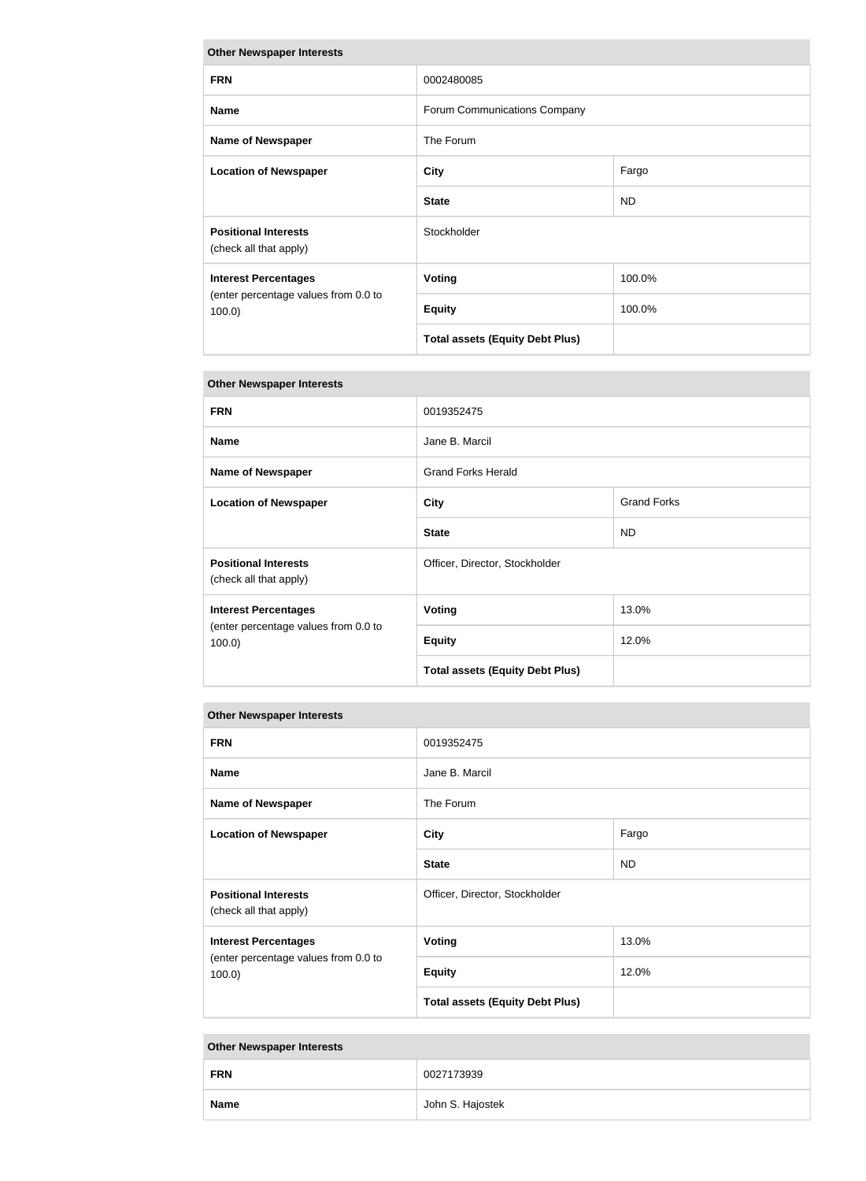| <b>Other Newspaper Interests</b>                                                 |                                        |           |
|----------------------------------------------------------------------------------|----------------------------------------|-----------|
| <b>FRN</b>                                                                       | 0002480085                             |           |
| <b>Name</b>                                                                      | Forum Communications Company           |           |
| <b>Name of Newspaper</b>                                                         | The Forum                              |           |
| <b>Location of Newspaper</b>                                                     | <b>City</b>                            | Fargo     |
|                                                                                  | <b>State</b>                           | <b>ND</b> |
| <b>Positional Interests</b><br>(check all that apply)                            | Stockholder                            |           |
| <b>Interest Percentages</b><br>(enter percentage values from 0.0 to<br>$100.0$ ) | <b>Voting</b>                          | 100.0%    |
|                                                                                  | <b>Equity</b>                          | 100.0%    |
|                                                                                  | <b>Total assets (Equity Debt Plus)</b> |           |

| <b>FRN</b>                                                                       | 0019352475                             |                    |
|----------------------------------------------------------------------------------|----------------------------------------|--------------------|
| <b>Name</b>                                                                      | Jane B. Marcil                         |                    |
| <b>Name of Newspaper</b>                                                         | <b>Grand Forks Herald</b>              |                    |
| <b>Location of Newspaper</b>                                                     | <b>City</b>                            | <b>Grand Forks</b> |
|                                                                                  | <b>State</b>                           | <b>ND</b>          |
| <b>Positional Interests</b><br>(check all that apply)                            | Officer, Director, Stockholder         |                    |
| <b>Interest Percentages</b><br>(enter percentage values from 0.0 to<br>$100.0$ ) | <b>Voting</b>                          | 13.0%              |
|                                                                                  | <b>Equity</b>                          | 12.0%              |
|                                                                                  | <b>Total assets (Equity Debt Plus)</b> |                    |

# **Other Newspaper Interests**

| <b>FRN</b>                                                                       | 0019352475                             |           |
|----------------------------------------------------------------------------------|----------------------------------------|-----------|
| <b>Name</b>                                                                      | Jane B. Marcil                         |           |
| <b>Name of Newspaper</b>                                                         | The Forum                              |           |
| <b>Location of Newspaper</b>                                                     | <b>City</b>                            | Fargo     |
|                                                                                  | <b>State</b>                           | <b>ND</b> |
| <b>Positional Interests</b><br>(check all that apply)                            | Officer, Director, Stockholder         |           |
| <b>Interest Percentages</b><br>(enter percentage values from 0.0 to<br>$100.0$ ) | <b>Voting</b>                          | 13.0%     |
|                                                                                  | <b>Equity</b>                          | 12.0%     |
|                                                                                  | <b>Total assets (Equity Debt Plus)</b> |           |

| <b>FRN</b>  | 0027173939       |
|-------------|------------------|
| <b>Name</b> | John S. Hajostek |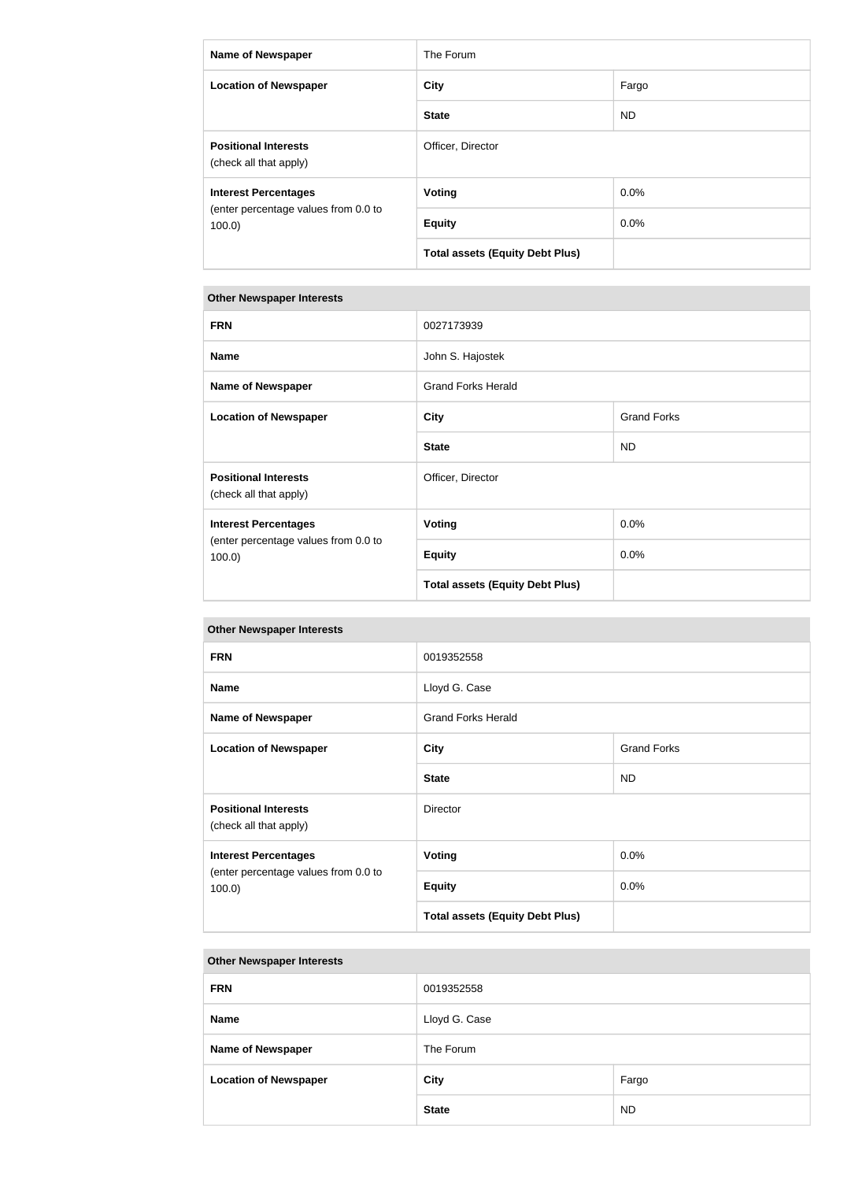| <b>Name of Newspaper</b>                              | The Forum                              |         |
|-------------------------------------------------------|----------------------------------------|---------|
| <b>Location of Newspaper</b>                          | <b>City</b>                            | Fargo   |
|                                                       | <b>State</b>                           | ND.     |
| <b>Positional Interests</b><br>(check all that apply) | Officer, Director                      |         |
| <b>Interest Percentages</b>                           | Voting                                 | $0.0\%$ |
| (enter percentage values from 0.0 to<br>$100.0$ )     | <b>Equity</b>                          | 0.0%    |
|                                                       | <b>Total assets (Equity Debt Plus)</b> |         |

| <b>FRN</b>                                                                       | 0027173939                             |                    |
|----------------------------------------------------------------------------------|----------------------------------------|--------------------|
| <b>Name</b>                                                                      | John S. Hajostek                       |                    |
| <b>Name of Newspaper</b>                                                         | <b>Grand Forks Herald</b>              |                    |
| <b>Location of Newspaper</b>                                                     | <b>City</b>                            | <b>Grand Forks</b> |
|                                                                                  | <b>State</b>                           | <b>ND</b>          |
| <b>Positional Interests</b><br>(check all that apply)                            | Officer, Director                      |                    |
| <b>Interest Percentages</b><br>(enter percentage values from 0.0 to<br>$100.0$ ) | <b>Voting</b>                          | 0.0%               |
|                                                                                  | <b>Equity</b>                          | 0.0%               |
|                                                                                  | <b>Total assets (Equity Debt Plus)</b> |                    |

# **Other Newspaper Interests**

| <b>FRN</b>                                                                   | 0019352558                             |                    |
|------------------------------------------------------------------------------|----------------------------------------|--------------------|
| <b>Name</b>                                                                  | Lloyd G. Case                          |                    |
| Name of Newspaper                                                            | <b>Grand Forks Herald</b>              |                    |
| <b>Location of Newspaper</b>                                                 | <b>City</b>                            | <b>Grand Forks</b> |
|                                                                              | <b>State</b>                           | <b>ND</b>          |
| <b>Positional Interests</b><br>(check all that apply)                        | Director                               |                    |
| <b>Interest Percentages</b><br>(enter percentage values from 0.0 to<br>100.0 | <b>Voting</b>                          | 0.0%               |
|                                                                              | <b>Equity</b>                          | $0.0\%$            |
|                                                                              | <b>Total assets (Equity Debt Plus)</b> |                    |

# **Other Newspaper Interests FRN** 0019352558 **Name** Lloyd G. Case **Name of Newspaper** The Forum **Location of Newspaper City City City City Pargo** State ND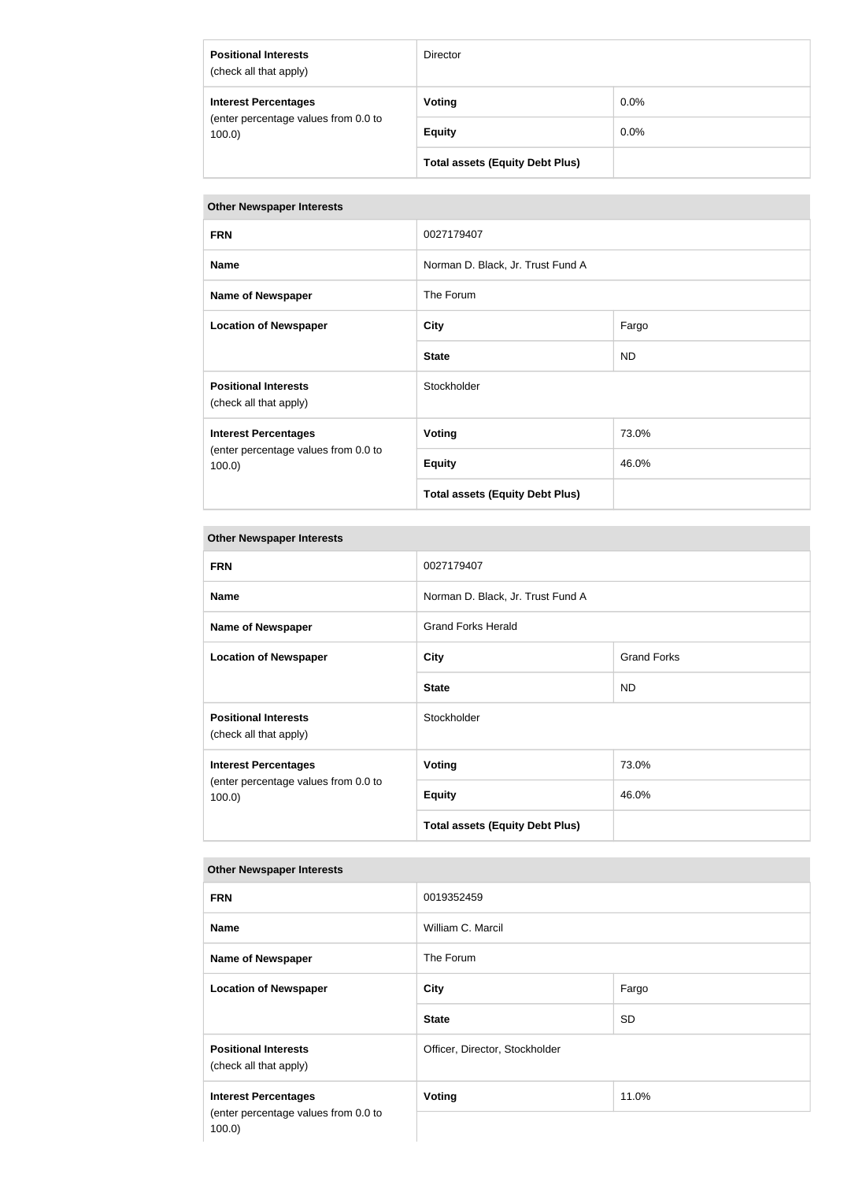| <b>Positional Interests</b><br>(check all that apply)                            | <b>Director</b>                        |         |
|----------------------------------------------------------------------------------|----------------------------------------|---------|
| <b>Interest Percentages</b><br>(enter percentage values from 0.0 to<br>$100.0$ ) | Voting                                 | $0.0\%$ |
|                                                                                  | <b>Equity</b>                          | $0.0\%$ |
|                                                                                  | <b>Total assets (Equity Debt Plus)</b> |         |

| <b>FRN</b>                                                                   | 0027179407                             |       |
|------------------------------------------------------------------------------|----------------------------------------|-------|
| <b>Name</b>                                                                  | Norman D. Black, Jr. Trust Fund A      |       |
| <b>Name of Newspaper</b>                                                     | The Forum                              |       |
| <b>Location of Newspaper</b>                                                 | <b>City</b>                            | Fargo |
|                                                                              | <b>State</b>                           | ND    |
| <b>Positional Interests</b><br>(check all that apply)                        | Stockholder                            |       |
| <b>Interest Percentages</b><br>(enter percentage values from 0.0 to<br>100.0 | <b>Voting</b>                          | 73.0% |
|                                                                              | <b>Equity</b>                          | 46.0% |
|                                                                              | <b>Total assets (Equity Debt Plus)</b> |       |

# **Other Newspaper Interests**

| <b>FRN</b>                                                                       | 0027179407                             |                    |
|----------------------------------------------------------------------------------|----------------------------------------|--------------------|
| <b>Name</b>                                                                      | Norman D. Black, Jr. Trust Fund A      |                    |
| <b>Name of Newspaper</b>                                                         | <b>Grand Forks Herald</b>              |                    |
| <b>Location of Newspaper</b>                                                     | <b>City</b>                            | <b>Grand Forks</b> |
|                                                                                  | <b>State</b>                           | <b>ND</b>          |
| <b>Positional Interests</b><br>(check all that apply)                            | Stockholder                            |                    |
| <b>Interest Percentages</b><br>(enter percentage values from 0.0 to<br>$100.0$ ) | Voting                                 | 73.0%              |
|                                                                                  | <b>Equity</b>                          | 46.0%              |
|                                                                                  | <b>Total assets (Equity Debt Plus)</b> |                    |

| <b>FRN</b>                                                                       | 0019352459                     |           |
|----------------------------------------------------------------------------------|--------------------------------|-----------|
| <b>Name</b>                                                                      | William C. Marcil              |           |
| <b>Name of Newspaper</b>                                                         | The Forum                      |           |
| <b>Location of Newspaper</b>                                                     | <b>City</b>                    | Fargo     |
|                                                                                  | <b>State</b>                   | <b>SD</b> |
| <b>Positional Interests</b><br>(check all that apply)                            | Officer, Director, Stockholder |           |
| <b>Interest Percentages</b><br>(enter percentage values from 0.0 to<br>$100.0$ ) | <b>Voting</b>                  | 11.0%     |
|                                                                                  |                                |           |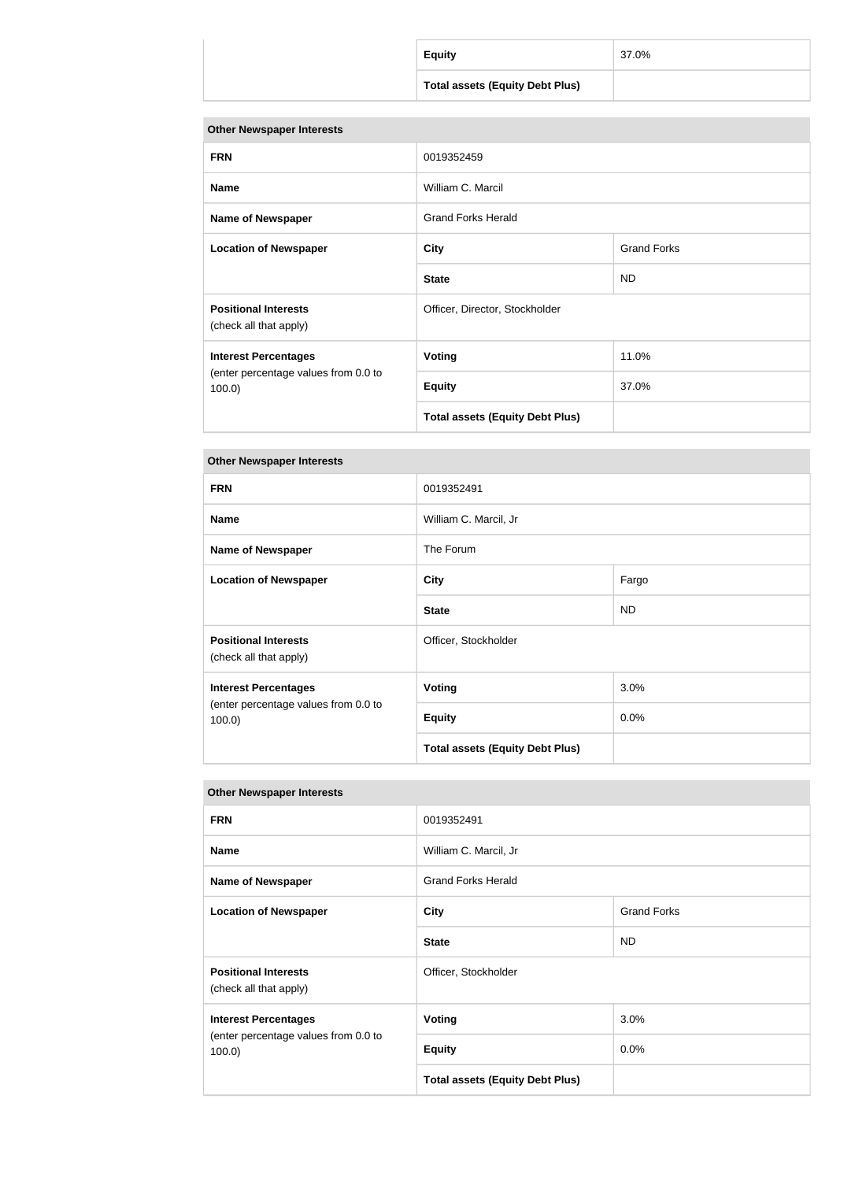| <b>Equity</b>                          | 37.0% |
|----------------------------------------|-------|
| <b>Total assets (Equity Debt Plus)</b> |       |

| <b>FRN</b>                                                                       | 0019352459                             |                    |
|----------------------------------------------------------------------------------|----------------------------------------|--------------------|
| <b>Name</b>                                                                      | William C. Marcil                      |                    |
| <b>Name of Newspaper</b>                                                         | <b>Grand Forks Herald</b>              |                    |
| <b>Location of Newspaper</b>                                                     | <b>City</b>                            | <b>Grand Forks</b> |
|                                                                                  | <b>State</b>                           | ND.                |
| <b>Positional Interests</b><br>(check all that apply)                            | Officer, Director, Stockholder         |                    |
| <b>Interest Percentages</b><br>(enter percentage values from 0.0 to<br>$100.0$ ) | Voting                                 | 11.0%              |
|                                                                                  | <b>Equity</b>                          | 37.0%              |
|                                                                                  | <b>Total assets (Equity Debt Plus)</b> |                    |

# **Other Newspaper Interests**

| <b>FRN</b>                                                                       | 0019352491                             |           |
|----------------------------------------------------------------------------------|----------------------------------------|-----------|
| <b>Name</b>                                                                      | William C. Marcil, Jr                  |           |
| <b>Name of Newspaper</b>                                                         | The Forum                              |           |
| <b>Location of Newspaper</b>                                                     | <b>City</b>                            | Fargo     |
|                                                                                  | <b>State</b>                           | <b>ND</b> |
| <b>Positional Interests</b><br>(check all that apply)                            | Officer, Stockholder                   |           |
| <b>Interest Percentages</b><br>(enter percentage values from 0.0 to<br>$100.0$ ) | <b>Voting</b>                          | $3.0\%$   |
|                                                                                  | <b>Equity</b>                          | 0.0%      |
|                                                                                  | <b>Total assets (Equity Debt Plus)</b> |           |

| <b>FRN</b>                                                                       | 0019352491                             |                    |
|----------------------------------------------------------------------------------|----------------------------------------|--------------------|
| <b>Name</b>                                                                      | William C. Marcil, Jr                  |                    |
| <b>Name of Newspaper</b>                                                         | <b>Grand Forks Herald</b>              |                    |
| <b>Location of Newspaper</b>                                                     | <b>City</b>                            | <b>Grand Forks</b> |
|                                                                                  | <b>State</b>                           | <b>ND</b>          |
| <b>Positional Interests</b><br>(check all that apply)                            | Officer, Stockholder                   |                    |
| <b>Interest Percentages</b><br>(enter percentage values from 0.0 to<br>$100.0$ ) | <b>Voting</b>                          | 3.0%               |
|                                                                                  | <b>Equity</b>                          | 0.0%               |
|                                                                                  | <b>Total assets (Equity Debt Plus)</b> |                    |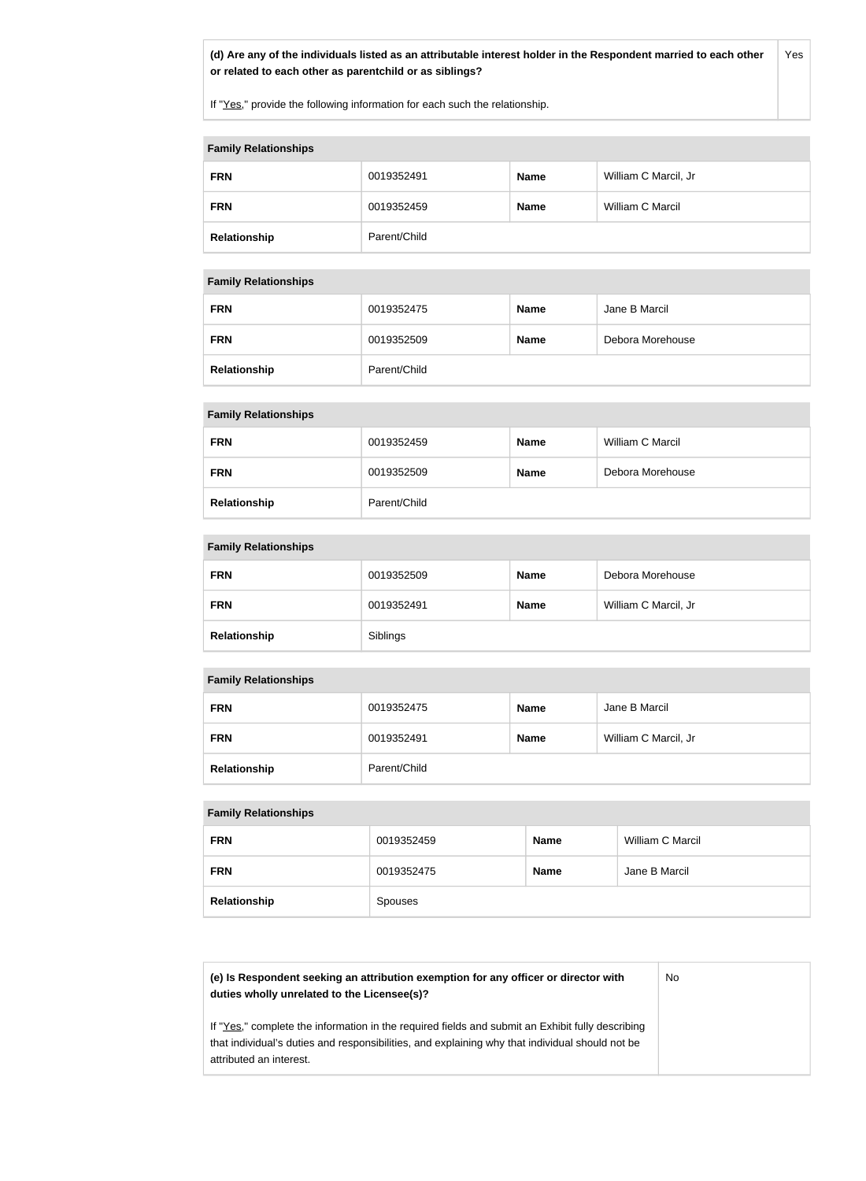**(d) Are any of the individuals listed as an attributable interest holder in the Respondent married to each other or related to each other as parentchild or as siblings?** Yes

If "Yes," provide the following information for each such the relationship.

#### **Family Relationships**

| <b>FRN</b>   | 0019352491   | <b>Name</b> | William C Marcil, Jr |
|--------------|--------------|-------------|----------------------|
| <b>FRN</b>   | 0019352459   | <b>Name</b> | William C Marcil     |
| Relationship | Parent/Child |             |                      |

### **Family Relationships**

| <b>FRN</b>   | 0019352475   | <b>Name</b> | Jane B Marcil    |  |
|--------------|--------------|-------------|------------------|--|
| <b>FRN</b>   | 0019352509   | <b>Name</b> | Debora Morehouse |  |
| Relationship | Parent/Child |             |                  |  |

### **Family Relationships**

| <b>FRN</b>   | 0019352459   | <b>Name</b> | William C Marcil |
|--------------|--------------|-------------|------------------|
| <b>FRN</b>   | 0019352509   | <b>Name</b> | Debora Morehouse |
| Relationship | Parent/Child |             |                  |

### **Family Relationships**

| <b>FRN</b>   | 0019352509 | <b>Name</b> | Debora Morehouse     |
|--------------|------------|-------------|----------------------|
| <b>FRN</b>   | 0019352491 | <b>Name</b> | William C Marcil, Jr |
| Relationship | Siblings   |             |                      |

### **Family Relationships**

| <b>FRN</b>   | 0019352475   | <b>Name</b> | Jane B Marcil        |
|--------------|--------------|-------------|----------------------|
| <b>FRN</b>   | 0019352491   | <b>Name</b> | William C Marcil, Jr |
| Relationship | Parent/Child |             |                      |

### **Family Relationships**

| <b>FRN</b>   | 0019352459     | <b>Name</b> | William C Marcil |
|--------------|----------------|-------------|------------------|
| <b>FRN</b>   | 0019352475     | <b>Name</b> | Jane B Marcil    |
| Relationship | <b>Spouses</b> |             |                  |

| (e) Is Respondent seeking an attribution exemption for any officer or director with<br>duties wholly unrelated to the Licensee(s)?                                                                                             | No |
|--------------------------------------------------------------------------------------------------------------------------------------------------------------------------------------------------------------------------------|----|
| If "Yes," complete the information in the required fields and submit an Exhibit fully describing<br>that individual's duties and responsibilities, and explaining why that individual should not be<br>attributed an interest. |    |